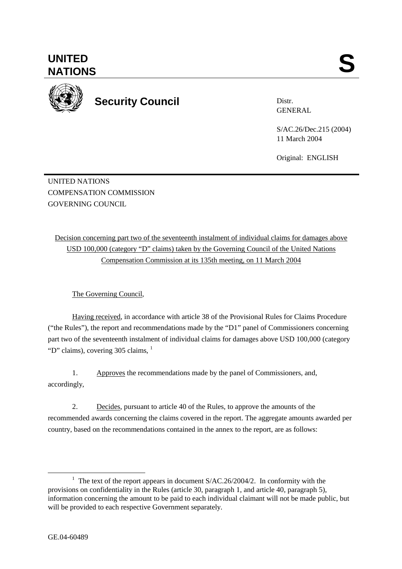UNITED NATIONS

COMPENSATION COMMISSION

**UNITED** 

Decision concerning part two of the seventeenth instalment of individual claims for damages above USD 100,000 (category "D" claims) taken by the Governing Council of the United Nations Compensation Commission at its 135th meeting, on 11 March 2004

The Governing Council,

Having received, in accordance with article 38 of the Provisional Rules for Claims Procedure ("the Rules"), the report and recommendations made by the "D1" panel of Commissioners concerning part two of the seventeenth instalment of individual claims for damages above USD 100,000 (category "D" claims), covering  $305$  claims,  $<sup>1</sup>$ </sup>

1. Approves the recommendations made by the panel of Commissioners, and, accordingly,

2. Decides, pursuant to article 40 of the Rules, to approve the amounts of the recommended awards concerning the claims covered in the report. The aggregate amounts awarded per country, based on the recommendations contained in the annex to the report, are as follows:

UNITED SANTIONS



Distr. GENERAL

S/AC.26/Dec.215 (2004) 11 March 2004

Original: ENGLISH

<sup>&</sup>lt;u>1</u> <sup>1</sup> The text of the report appears in document  $S/AC.26/2004/2$ . In conformity with the provisions on confidentiality in the Rules (article 30, paragraph 1, and article 40, paragraph 5), information concerning the amount to be paid to each individual claimant will not be made public, but will be provided to each respective Government separately.